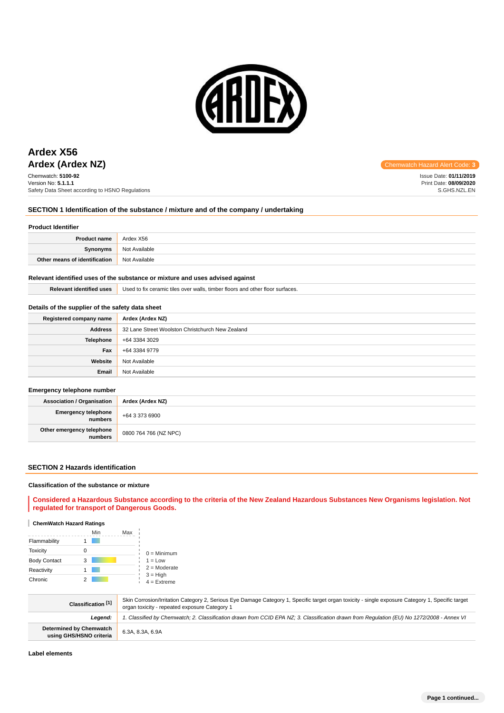

# **Ardex (Ardex NZ) Chemwatch Hazard Alert** Communication Communication Communication Communication Alert Communication Control and Alert Communication Communication Communication Communication Communication Communication **Ardex X56**

Chemwatch: **5100-92** Version No: **5.1.1.1** Safety Data Sheet according to HSNO Regulations

Issue Date: **01/11/2019** Print Date: **08/09/2020** S.GHS.NZL.EN

### **SECTION 1 Identification of the substance / mixture and of the company / undertaking**

### **Product Identifier**

| <b>Product name</b>           | Ardex X56     |
|-------------------------------|---------------|
| Synonyms                      | Not Available |
| Other means of identification | Not Available |

### **Relevant identified uses of the substance or mixture and uses advised against**

**Relevant identified uses** Used to fix ceramic tiles over walls, timber floors and other floor surfaces.

### **Details of the supplier of the safety data sheet**

| Registered company name | Ardex (Ardex NZ)                                 |
|-------------------------|--------------------------------------------------|
| <b>Address</b>          | 32 Lane Street Woolston Christchurch New Zealand |
| <b>Telephone</b>        | +64 3384 3029                                    |
| Fax                     | +64 3384 9779                                    |
| Website                 | Not Available                                    |
| Email                   | Not Available                                    |

### **Emergency telephone number**

| <b>Association / Organisation</b> | Ardex (Ardex NZ)      |
|-----------------------------------|-----------------------|
| Emergency telephone<br>numbers    | $+6433736900$         |
| Other emergency telephone         | 0800 764 766 (NZ NPC) |

### **SECTION 2 Hazards identification**

### **Classification of the substance or mixture**

**Considered a Hazardous Substance according to the criteria of the New Zealand Hazardous Substances New Organisms legislation. Not regulated for transport of Dangerous Goods.**

### **ChemWatch Hazard Ratings**

|                     | Min | Max |                             |
|---------------------|-----|-----|-----------------------------|
| Flammability        |     |     |                             |
| <b>Toxicity</b>     |     |     | $0 =$ Minimum               |
| <b>Body Contact</b> | 3   |     | $1 = Low$                   |
| Reactivity          |     |     | $2 =$ Moderate              |
| Chronic             |     |     | $3 = High$<br>$4 =$ Extreme |

| Classification [1]                                 | Skin Corrosion/Irritation Category 2, Serious Eye Damage Category 1, Specific target organ toxicity - single exposure Category 1, Specific target<br>organ toxicity - repeated exposure Category 1 |
|----------------------------------------------------|----------------------------------------------------------------------------------------------------------------------------------------------------------------------------------------------------|
| Leaend:                                            | 1. Classified by Chemwatch; 2. Classification drawn from CCID EPA NZ; 3. Classification drawn from Requlation (EU) No 1272/2008 - Annex VI                                                         |
| Determined by Chemwatch<br>using GHS/HSNO criteria | 6.3A, 8.3A, 6.9A                                                                                                                                                                                   |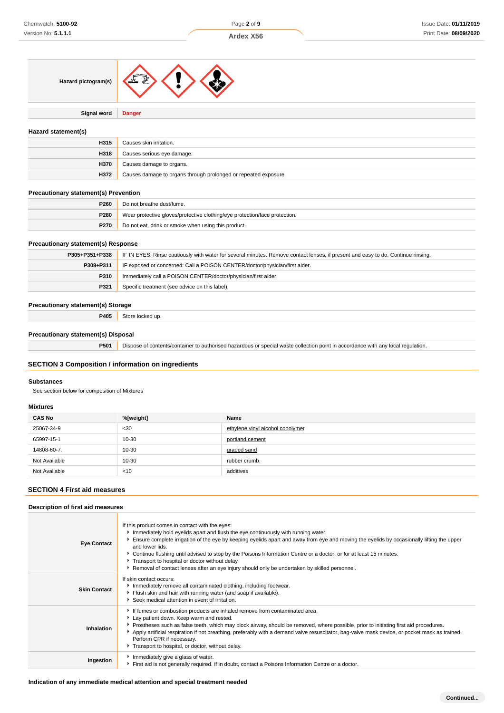

**Signal word Danger**

### **Hazard statement(s)**

| H315 | Causes skin irritation.                                         |
|------|-----------------------------------------------------------------|
| H318 | Causes serious eye damage.                                      |
| H370 | Causes damage to organs.                                        |
| H372 | Causes damage to organs through prolonged or repeated exposure. |

### **Precautionary statement(s) Prevention**

| P <sub>260</sub> | Do not breathe dust/fume.                                                  |
|------------------|----------------------------------------------------------------------------|
| P280             | Wear protective gloves/protective clothing/eye protection/face protection. |
| <b>P270</b>      | Do not eat, drink or smoke when using this product.                        |

### **Precautionary statement(s) Response**

| P305+P351+P338 | IF IN EYES: Rinse cautiously with water for several minutes. Remove contact lenses, if present and easy to do. Continue rinsing. |  |
|----------------|----------------------------------------------------------------------------------------------------------------------------------|--|
| P308+P311      | IF exposed or concerned: Call a POISON CENTER/doctor/physician/first aider.                                                      |  |
| <b>P310</b>    | Immediately call a POISON CENTER/doctor/physician/first aider.                                                                   |  |
| P321           | Specific treatment (see advice on this label).                                                                                   |  |

### **Precautionary statement(s) Storage**

**P405** Store locked up.

### **Precautionary statement(s) Disposal**

**P501** Dispose of contents/container to authorised hazardous or special waste collection point in accordance with any local regulation.

### **SECTION 3 Composition / information on ingredients**

### **Substances**

See section below for composition of Mixtures

### **Mixtures**

| <b>CAS No</b> | %[weight] | Name                             |
|---------------|-----------|----------------------------------|
| 25067-34-9    | $30$      | ethylene vinyl alcohol copolymer |
| 65997-15-1    | 10-30     | portland cement                  |
| 14808-60-7.   | 10-30     | graded sand                      |
| Not Available | 10-30     | rubber crumb.                    |
| Not Available | < 10      | additives                        |

### **SECTION 4 First aid measures**

### **Description of first aid measures**

| <b>Eye Contact</b>  | If this product comes in contact with the eyes:<br>Immediately hold eyelids apart and flush the eye continuously with running water.<br>Ensure complete irrigation of the eye by keeping eyelids apart and away from eye and moving the eyelids by occasionally lifting the upper<br>and lower lids.<br>► Continue flushing until advised to stop by the Poisons Information Centre or a doctor, or for at least 15 minutes.<br>Transport to hospital or doctor without delay.<br>Removal of contact lenses after an eye injury should only be undertaken by skilled personnel. |
|---------------------|---------------------------------------------------------------------------------------------------------------------------------------------------------------------------------------------------------------------------------------------------------------------------------------------------------------------------------------------------------------------------------------------------------------------------------------------------------------------------------------------------------------------------------------------------------------------------------|
| <b>Skin Contact</b> | If skin contact occurs:<br>Immediately remove all contaminated clothing, including footwear.<br>Flush skin and hair with running water (and soap if available).<br>Seek medical attention in event of irritation.                                                                                                                                                                                                                                                                                                                                                               |
| Inhalation          | If fumes or combustion products are inhaled remove from contaminated area.<br>Lay patient down. Keep warm and rested.<br>▶ Prostheses such as false teeth, which may block airway, should be removed, where possible, prior to initiating first aid procedures.<br>Apply artificial respiration if not breathing, preferably with a demand valve resuscitator, bag-valve mask device, or pocket mask as trained.<br>Perform CPR if necessary.<br>Transport to hospital, or doctor, without delay.                                                                               |
| Ingestion           | Immediately give a glass of water.<br>First aid is not generally required. If in doubt, contact a Poisons Information Centre or a doctor.                                                                                                                                                                                                                                                                                                                                                                                                                                       |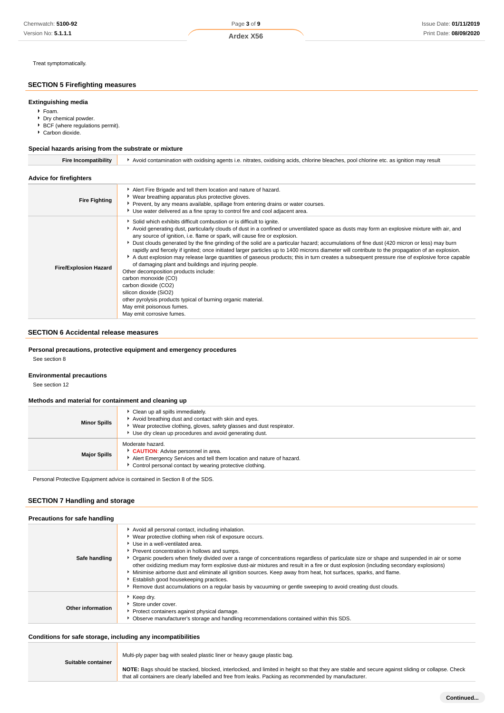Treat symptomatically.

### **SECTION 5 Firefighting measures**

### **Extinguishing media**

### Foam.

- Dry chemical powder.
- ▶ BCF (where regulations permit).
- Carbon dioxide.

### **Special hazards arising from the substrate or mixture**

| <b>Fire Incompatibility</b>    | Avoid contamination with oxidising agents i.e. nitrates, oxidising acids, chlorine bleaches, pool chlorine etc. as ignition may result                                                                                                                                                                                                                                                                                                                                                                                                                                                                                                                                                                                                                                                                                                                                                                                                                                                                                                                      |  |  |
|--------------------------------|-------------------------------------------------------------------------------------------------------------------------------------------------------------------------------------------------------------------------------------------------------------------------------------------------------------------------------------------------------------------------------------------------------------------------------------------------------------------------------------------------------------------------------------------------------------------------------------------------------------------------------------------------------------------------------------------------------------------------------------------------------------------------------------------------------------------------------------------------------------------------------------------------------------------------------------------------------------------------------------------------------------------------------------------------------------|--|--|
| <b>Advice for firefighters</b> |                                                                                                                                                                                                                                                                                                                                                                                                                                                                                                                                                                                                                                                                                                                                                                                                                                                                                                                                                                                                                                                             |  |  |
| <b>Fire Fighting</b>           | Alert Fire Brigade and tell them location and nature of hazard.<br>▶ Wear breathing apparatus plus protective gloves.<br>▶ Prevent, by any means available, spillage from entering drains or water courses.<br>► Use water delivered as a fine spray to control fire and cool adjacent area.                                                                                                                                                                                                                                                                                                                                                                                                                                                                                                                                                                                                                                                                                                                                                                |  |  |
| <b>Fire/Explosion Hazard</b>   | Solid which exhibits difficult combustion or is difficult to ignite.<br>Avoid generating dust, particularly clouds of dust in a confined or unventilated space as dusts may form an explosive mixture with air, and<br>any source of ignition, i.e. flame or spark, will cause fire or explosion.<br>> Dust clouds generated by the fine grinding of the solid are a particular hazard; accumulations of fine dust (420 micron or less) may burn<br>rapidly and fiercely if ignited; once initiated larger particles up to 1400 microns diameter will contribute to the propagation of an explosion.<br>A dust explosion may release large quantities of gaseous products; this in turn creates a subsequent pressure rise of explosive force capable<br>of damaging plant and buildings and injuring people.<br>Other decomposition products include:<br>carbon monoxide (CO)<br>carbon dioxide (CO2)<br>silicon dioxide (SiO2)<br>other pyrolysis products typical of burning organic material.<br>May emit poisonous fumes.<br>May emit corrosive fumes. |  |  |

### **SECTION 6 Accidental release measures**

### **Personal precautions, protective equipment and emergency procedures**

See section 8

### **Environmental precautions**

See section 12

### **Methods and material for containment and cleaning up**

| <b>Minor Spills</b> | Clean up all spills immediately.<br>Avoid breathing dust and contact with skin and eyes.<br>Wear protective clothing, gloves, safety glasses and dust respirator.<br>Use dry clean up procedures and avoid generating dust. |
|---------------------|-----------------------------------------------------------------------------------------------------------------------------------------------------------------------------------------------------------------------------|
| <b>Major Spills</b> | Moderate hazard.<br>CAUTION: Advise personnel in area.<br>Alert Emergency Services and tell them location and nature of hazard.<br>Control personal contact by wearing protective clothing.                                 |

Personal Protective Equipment advice is contained in Section 8 of the SDS.

### **SECTION 7 Handling and storage**

| Precautions for safe handling |                                                                                                                                                                                                                                                                                                                                                                                                                                                                                                                                                                                                                                                                                                                                                                   |
|-------------------------------|-------------------------------------------------------------------------------------------------------------------------------------------------------------------------------------------------------------------------------------------------------------------------------------------------------------------------------------------------------------------------------------------------------------------------------------------------------------------------------------------------------------------------------------------------------------------------------------------------------------------------------------------------------------------------------------------------------------------------------------------------------------------|
| Safe handling                 | Avoid all personal contact, including inhalation.<br>▶ Wear protective clothing when risk of exposure occurs.<br>Use in a well-ventilated area.<br>Prevent concentration in hollows and sumps.<br>▶ Organic powders when finely divided over a range of concentrations regardless of particulate size or shape and suspended in air or some<br>other oxidizing medium may form explosive dust-air mixtures and result in a fire or dust explosion (including secondary explosions)<br>Minimise airborne dust and eliminate all ignition sources. Keep away from heat, hot surfaces, sparks, and flame.<br>Establish good housekeeping practices.<br>► Remove dust accumulations on a regular basis by vacuuming or gentle sweeping to avoid creating dust clouds. |
| Other information             | Keep dry.<br>Store under cover.<br>Protect containers against physical damage.<br>• Observe manufacturer's storage and handling recommendations contained within this SDS.                                                                                                                                                                                                                                                                                                                                                                                                                                                                                                                                                                                        |

### **Conditions for safe storage, including any incompatibilities** Π

| Suitable container | Multi-ply paper bag with sealed plastic liner or heavy gauge plastic bag.                                                                                                                                                                                |  |  |  |
|--------------------|----------------------------------------------------------------------------------------------------------------------------------------------------------------------------------------------------------------------------------------------------------|--|--|--|
|                    | NOTE: Bags should be stacked, blocked, interlocked, and limited in height so that they are stable and secure against sliding or collapse. Check<br>that all containers are clearly labelled and free from leaks. Packing as recommended by manufacturer. |  |  |  |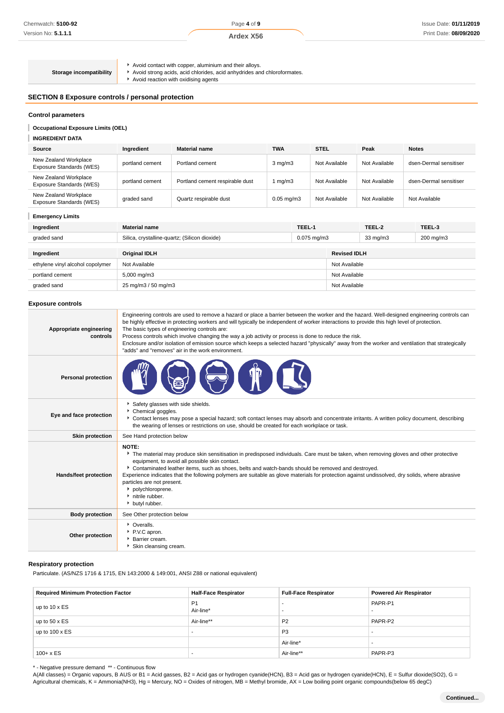Page **4** of **9**

### **Ardex X56**

## **Storage incompatibility**

Avoid contact with copper, aluminium and their alloys.

Avoid strong acids, acid chlorides, acid anhydrides and chloroformates.

Avoid reaction with oxidising agents

### **SECTION 8 Exposure controls / personal protection**

### **Control parameters**

**Occupational Exposure Limits (OEL)**

#### **INGREDIENT DATA** I

| Source                                            | Ingredient      | <b>Material name</b>            | <b>TWA</b>       | <b>STEL</b>   | Peak          | <b>Notes</b>           |
|---------------------------------------------------|-----------------|---------------------------------|------------------|---------------|---------------|------------------------|
| New Zealand Workplace<br>Exposure Standards (WES) | portland cement | Portland cement                 | $3 \text{ mg/m}$ | Not Available | Not Available | dsen-Dermal sensitiser |
| New Zealand Workplace<br>Exposure Standards (WES) | portland cement | Portland cement respirable dust | 1 mg/m3          | Not Available | Not Available | dsen-Dermal sensitiser |
| New Zealand Workplace<br>Exposure Standards (WES) | graded sand     | Quartz respirable dust          | $0.05$ mg/m $3$  | Not Available | Not Available | Not Available          |

### **Emergency Limits**

| Ingredient                       | <b>Material name</b>                                              | TEEL-1 |                     | TEEL-2            | TEEL-3    |
|----------------------------------|-------------------------------------------------------------------|--------|---------------------|-------------------|-----------|
| graded sand                      | Silica, crystalline-quartz; (Silicon dioxide)<br>$0.075$ mg/m $3$ |        |                     | $33 \text{ mg/m}$ | 200 mg/m3 |
|                                  |                                                                   |        |                     |                   |           |
| Ingredient                       | <b>Original IDLH</b>                                              |        | <b>Revised IDLH</b> |                   |           |
| ethylene vinyl alcohol copolymer | Not Available                                                     |        | Not Available       |                   |           |
| portland cement                  | 5,000 mg/m3                                                       |        | Not Available       |                   |           |
| graded sand                      | 25 mg/m3 / 50 mg/m3                                               |        | Not Available       |                   |           |

### **Exposure controls**

| Appropriate engineering<br>controls | Engineering controls are used to remove a hazard or place a barrier between the worker and the hazard. Well-designed engineering controls can<br>be highly effective in protecting workers and will typically be independent of worker interactions to provide this high level of protection.<br>The basic types of engineering controls are:<br>Process controls which involve changing the way a job activity or process is done to reduce the risk.<br>Enclosure and/or isolation of emission source which keeps a selected hazard "physically" away from the worker and ventilation that strategically<br>"adds" and "removes" air in the work environment. |
|-------------------------------------|-----------------------------------------------------------------------------------------------------------------------------------------------------------------------------------------------------------------------------------------------------------------------------------------------------------------------------------------------------------------------------------------------------------------------------------------------------------------------------------------------------------------------------------------------------------------------------------------------------------------------------------------------------------------|
| <b>Personal protection</b>          |                                                                                                                                                                                                                                                                                                                                                                                                                                                                                                                                                                                                                                                                 |
| Eye and face protection             | Safety glasses with side shields.<br>Chemical goggles.<br>▶ Contact lenses may pose a special hazard; soft contact lenses may absorb and concentrate irritants. A written policy document, describing<br>the wearing of lenses or restrictions on use, should be created for each workplace or task.                                                                                                                                                                                                                                                                                                                                                            |
| <b>Skin protection</b>              | See Hand protection below                                                                                                                                                                                                                                                                                                                                                                                                                                                                                                                                                                                                                                       |
| Hands/feet protection               | <b>NOTE:</b><br>The material may produce skin sensitisation in predisposed individuals. Care must be taken, when removing gloves and other protective<br>equipment, to avoid all possible skin contact.<br>Contaminated leather items, such as shoes, belts and watch-bands should be removed and destroyed.<br>Experience indicates that the following polymers are suitable as glove materials for protection against undissolved, dry solids, where abrasive<br>particles are not present.<br>• polychloroprene.<br>nitrile rubber.<br>butyl rubber.                                                                                                         |
| <b>Body protection</b>              | See Other protection below                                                                                                                                                                                                                                                                                                                                                                                                                                                                                                                                                                                                                                      |
| Other protection                    | • Overalls.<br>▶ P.V.C apron.<br>Barrier cream.<br>Skin cleansing cream.                                                                                                                                                                                                                                                                                                                                                                                                                                                                                                                                                                                        |

### **Respiratory protection**

Particulate. (AS/NZS 1716 & 1715, EN 143:2000 & 149:001, ANSI Z88 or national equivalent)

| <b>Required Minimum Protection Factor</b> | <b>Half-Face Respirator</b> | <b>Full-Face Respirator</b> | <b>Powered Air Respirator</b> |
|-------------------------------------------|-----------------------------|-----------------------------|-------------------------------|
| up to 10 x ES                             | P <sub>1</sub><br>Air-line* | <br>                        | PAPR-P1                       |
| up to $50 \times ES$                      | Air-line**                  | P <sub>2</sub>              | PAPR-P2                       |
| up to $100 \times ES$                     | $\overline{\phantom{a}}$    | P <sub>3</sub>              |                               |
|                                           |                             | Air-line*                   |                               |
| $100 + x ES$                              |                             | Air-line**                  | PAPR-P3                       |

\* - Negative pressure demand \*\* - Continuous flow

A(All classes) = Organic vapours, B AUS or B1 = Acid gasses, B2 = Acid gas or hydrogen cyanide(HCN), B3 = Acid gas or hydrogen cyanide(HCN), E = Sulfur dioxide(SO2), G = Agricultural chemicals, K = Ammonia(NH3), Hg = Mercury, NO = Oxides of nitrogen, MB = Methyl bromide, AX = Low boiling point organic compounds(below 65 degC)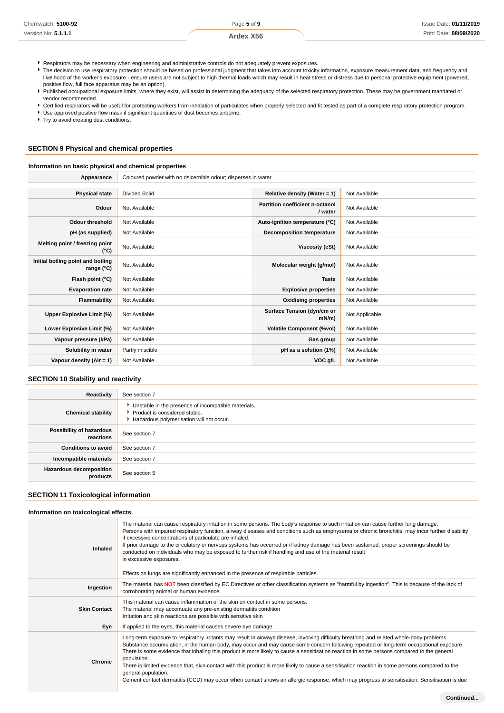| Chemwatch: 5100-92  | Page 5 of 9      | Issue Date: 01/11/2019 |
|---------------------|------------------|------------------------|
| Version No: 5.1.1.1 | <b>Ardex X56</b> | Print Date: 08/09/2020 |
|                     |                  |                        |

- Respirators may be necessary when engineering and administrative controls do not adequately prevent exposures.
- Figure 1.1 The decision to use respiratory protection should be based on professional judgment that takes into account toxicity information, exposure measurement data, and frequency and likelihood of the worker's exposure - ensure users are not subject to high thermal loads which may result in heat stress or distress due to personal protective equipment (powered, positive flow, full face apparatus may be an option).
- Published occupational exposure limits, where they exist, will assist in determining the adequacy of the selected respiratory protection. These may be government mandated or vendor recommended.
- Certified respirators will be useful for protecting workers from inhalation of particulates when properly selected and fit tested as part of a complete respiratory protection program.
- Use approved positive flow mask if significant quantities of dust becomes airborne.
- $\blacktriangleright$  Try to avoid creating dust conditions.

### **SECTION 9 Physical and chemical properties**

### **Information on basic physical and chemical properties**

| Appearance                                      | Coloured powder with no dsicernible odour; disperses in water. |                                            |                |
|-------------------------------------------------|----------------------------------------------------------------|--------------------------------------------|----------------|
|                                                 |                                                                |                                            |                |
| <b>Physical state</b>                           | <b>Divided Solid</b>                                           | Relative density (Water = 1)               | Not Available  |
| Odour                                           | Not Available                                                  | Partition coefficient n-octanol<br>/ water | Not Available  |
| <b>Odour threshold</b>                          | Not Available                                                  | Auto-ignition temperature (°C)             | Not Available  |
| pH (as supplied)                                | Not Available                                                  | <b>Decomposition temperature</b>           | Not Available  |
| Melting point / freezing point<br>(°C)          | Not Available                                                  | Viscosity (cSt)                            | Not Available  |
| Initial boiling point and boiling<br>range (°C) | Not Available                                                  | Molecular weight (g/mol)                   | Not Available  |
| Flash point (°C)                                | Not Available                                                  | <b>Taste</b>                               | Not Available  |
| <b>Evaporation rate</b>                         | Not Available                                                  | <b>Explosive properties</b>                | Not Available  |
| <b>Flammability</b>                             | Not Available                                                  | <b>Oxidising properties</b>                | Not Available  |
| Upper Explosive Limit (%)                       | Not Available                                                  | Surface Tension (dyn/cm or<br>$mN/m$ )     | Not Applicable |
| Lower Explosive Limit (%)                       | Not Available                                                  | <b>Volatile Component (%vol)</b>           | Not Available  |
| Vapour pressure (kPa)                           | Not Available                                                  | Gas group                                  | Not Available  |
| Solubility in water                             | Partly miscible                                                | pH as a solution (1%)                      | Not Available  |
| Vapour density $(Air = 1)$                      | Not Available                                                  | VOC g/L                                    | Not Available  |

### **SECTION 10 Stability and reactivity**

| Reactivity                                 | See section 7                                                                                                                      |
|--------------------------------------------|------------------------------------------------------------------------------------------------------------------------------------|
| <b>Chemical stability</b>                  | • Unstable in the presence of incompatible materials.<br>Product is considered stable.<br>Hazardous polymerisation will not occur. |
| Possibility of hazardous<br>reactions      | See section 7                                                                                                                      |
| <b>Conditions to avoid</b>                 | See section 7                                                                                                                      |
| Incompatible materials                     | See section 7                                                                                                                      |
| <b>Hazardous decomposition</b><br>products | See section 5                                                                                                                      |

### **SECTION 11 Toxicological information**

### **Information on toxicological effects**

| Inhaled             | The material can cause respiratory irritation in some persons. The body's response to such irritation can cause further lung damage.<br>Persons with impaired respiratory function, airway diseases and conditions such as emphysema or chronic bronchitis, may incur further disability<br>if excessive concentrations of particulate are inhaled.<br>If prior damage to the circulatory or nervous systems has occurred or if kidney damage has been sustained, proper screenings should be<br>conducted on individuals who may be exposed to further risk if handling and use of the material result<br>in excessive exposures.<br>Effects on lungs are significantly enhanced in the presence of respirable particles.                                                  |
|---------------------|-----------------------------------------------------------------------------------------------------------------------------------------------------------------------------------------------------------------------------------------------------------------------------------------------------------------------------------------------------------------------------------------------------------------------------------------------------------------------------------------------------------------------------------------------------------------------------------------------------------------------------------------------------------------------------------------------------------------------------------------------------------------------------|
| Ingestion           | The material has NOT been classified by EC Directives or other classification systems as "harmful by ingestion". This is because of the lack of<br>corroborating animal or human evidence.                                                                                                                                                                                                                                                                                                                                                                                                                                                                                                                                                                                  |
| <b>Skin Contact</b> | This material can cause inflammation of the skin on contact in some persons.<br>The material may accentuate any pre-existing dermatitis condition<br>Irritation and skin reactions are possible with sensitive skin                                                                                                                                                                                                                                                                                                                                                                                                                                                                                                                                                         |
| Eye                 | If applied to the eyes, this material causes severe eye damage.                                                                                                                                                                                                                                                                                                                                                                                                                                                                                                                                                                                                                                                                                                             |
| Chronic             | Long-term exposure to respiratory irritants may result in airways disease, involving difficulty breathing and related whole-body problems.<br>Substance accumulation, in the human body, may occur and may cause some concern following repeated or long-term occupational exposure.<br>There is some evidence that inhaling this product is more likely to cause a sensitisation reaction in some persons compared to the general<br>population.<br>There is limited evidence that, skin contact with this product is more likely to cause a sensitisation reaction in some persons compared to the<br>general population.<br>Cement contact dermatitis (CCD) may occur when contact shows an allergic response, which may progress to sensitisation. Sensitisation is due |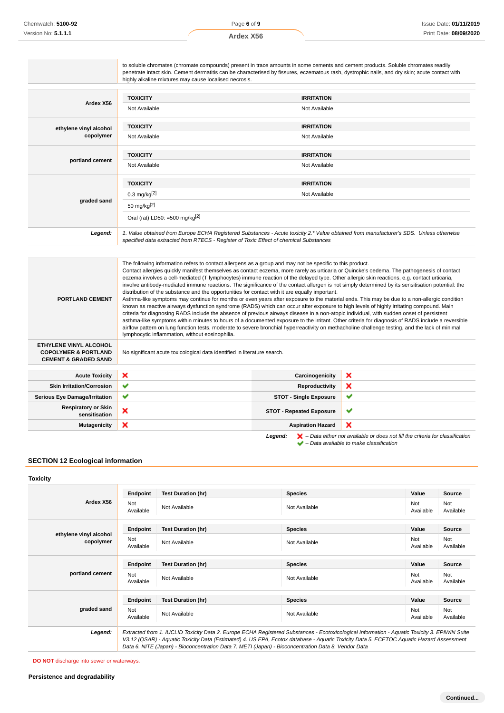|                                                                                              | to soluble chromates (chromate compounds) present in trace amounts in some cements and cement products. Soluble chromates readily<br>penetrate intact skin. Cement dermatitis can be characterised by fissures, eczematous rash, dystrophic nails, and dry skin; acute contact with<br>highly alkaline mixtures may cause localised necrosis.                                                                                                                                                                                                                                                                                                                                                                                                                                                |                                 |              |
|----------------------------------------------------------------------------------------------|----------------------------------------------------------------------------------------------------------------------------------------------------------------------------------------------------------------------------------------------------------------------------------------------------------------------------------------------------------------------------------------------------------------------------------------------------------------------------------------------------------------------------------------------------------------------------------------------------------------------------------------------------------------------------------------------------------------------------------------------------------------------------------------------|---------------------------------|--------------|
|                                                                                              |                                                                                                                                                                                                                                                                                                                                                                                                                                                                                                                                                                                                                                                                                                                                                                                              |                                 |              |
|                                                                                              | <b>TOXICITY</b>                                                                                                                                                                                                                                                                                                                                                                                                                                                                                                                                                                                                                                                                                                                                                                              | <b>IRRITATION</b>               |              |
| Ardex X56                                                                                    | Not Available                                                                                                                                                                                                                                                                                                                                                                                                                                                                                                                                                                                                                                                                                                                                                                                | Not Available                   |              |
| ethylene vinyl alcohol                                                                       | <b>TOXICITY</b>                                                                                                                                                                                                                                                                                                                                                                                                                                                                                                                                                                                                                                                                                                                                                                              | <b>IRRITATION</b>               |              |
| copolymer                                                                                    | Not Available                                                                                                                                                                                                                                                                                                                                                                                                                                                                                                                                                                                                                                                                                                                                                                                | Not Available                   |              |
|                                                                                              | <b>TOXICITY</b>                                                                                                                                                                                                                                                                                                                                                                                                                                                                                                                                                                                                                                                                                                                                                                              | <b>IRRITATION</b>               |              |
| portland cement                                                                              | Not Available                                                                                                                                                                                                                                                                                                                                                                                                                                                                                                                                                                                                                                                                                                                                                                                | Not Available                   |              |
|                                                                                              | <b>TOXICITY</b>                                                                                                                                                                                                                                                                                                                                                                                                                                                                                                                                                                                                                                                                                                                                                                              | <b>IRRITATION</b>               |              |
|                                                                                              | $0.3 \text{ mg/kg}^{[2]}$                                                                                                                                                                                                                                                                                                                                                                                                                                                                                                                                                                                                                                                                                                                                                                    | Not Available                   |              |
| graded sand                                                                                  | 50 mg/kg <sup>[2]</sup>                                                                                                                                                                                                                                                                                                                                                                                                                                                                                                                                                                                                                                                                                                                                                                      |                                 |              |
|                                                                                              | Oral (rat) LD50: =500 mg/kg $^{[2]}$                                                                                                                                                                                                                                                                                                                                                                                                                                                                                                                                                                                                                                                                                                                                                         |                                 |              |
| Legend:                                                                                      | 1. Value obtained from Europe ECHA Registered Substances - Acute toxicity 2.* Value obtained from manufacturer's SDS. Unless otherwise<br>specified data extracted from RTECS - Register of Toxic Effect of chemical Substances                                                                                                                                                                                                                                                                                                                                                                                                                                                                                                                                                              |                                 |              |
|                                                                                              | The following information refers to contact allergens as a group and may not be specific to this product.<br>Contact allergies quickly manifest themselves as contact eczema, more rarely as urticaria or Quincke's oedema. The pathogenesis of contact<br>eczema involves a cell-mediated (T lymphocytes) immune reaction of the delayed type. Other allergic skin reactions, e.g. contact urticaria,<br>involve antibody-mediated immune reactions. The significance of the contact allergen is not simply determined by its sensitisation potential: the<br>distribution of the substance and the opportunities for contact with it are equally important.                                                                                                                                |                                 |              |
| <b>PORTLAND CEMENT</b>                                                                       | Asthma-like symptoms may continue for months or even years after exposure to the material ends. This may be due to a non-allergic condition<br>known as reactive airways dysfunction syndrome (RADS) which can occur after exposure to high levels of highly irritating compound. Main<br>criteria for diagnosing RADS include the absence of previous airways disease in a non-atopic individual, with sudden onset of persistent<br>asthma-like symptoms within minutes to hours of a documented exposure to the irritant. Other criteria for diagnosis of RADS include a reversible<br>airflow pattern on lung function tests, moderate to severe bronchial hyperreactivity on methacholine challenge testing, and the lack of minimal<br>lymphocytic inflammation, without eosinophilia. |                                 |              |
| ETHYLENE VINYL ALCOHOL<br><b>COPOLYMER &amp; PORTLAND</b><br><b>CEMENT &amp; GRADED SAND</b> | No significant acute toxicological data identified in literature search.                                                                                                                                                                                                                                                                                                                                                                                                                                                                                                                                                                                                                                                                                                                     |                                 |              |
| <b>Acute Toxicity</b>                                                                        | ×                                                                                                                                                                                                                                                                                                                                                                                                                                                                                                                                                                                                                                                                                                                                                                                            | Carcinogenicity                 | ×            |
| <b>Skin Irritation/Corrosion</b>                                                             | ✔                                                                                                                                                                                                                                                                                                                                                                                                                                                                                                                                                                                                                                                                                                                                                                                            | <b>Reproductivity</b>           | ×            |
|                                                                                              | ✔                                                                                                                                                                                                                                                                                                                                                                                                                                                                                                                                                                                                                                                                                                                                                                                            | <b>STOT - Single Exposure</b>   | ✔            |
| <b>Serious Eye Damage/Irritation</b><br><b>Respiratory or Skin</b><br>sensitisation          | ×                                                                                                                                                                                                                                                                                                                                                                                                                                                                                                                                                                                                                                                                                                                                                                                            | <b>STOT - Repeated Exposure</b> | $\checkmark$ |

### **SECTION 12 Ecological information**

### **Toxicity Ardex X56 Endpoint Test Duration (hr) Species Species Value Source** Not Not Not Not Available Not Available Not Available Not Available Not Available Not Available Not Ava Available Not Available **ethylene vinyl alcohol copolymer Endpoint Test Duration (hr) Species Value Source** Not<br>Available Not Not Not Available Not Available Not Available Not Available Not Available Not Available Not Ava Available Not Available **portland cement Endpoint Test Duration (hr) Species Value Source** Not<br>Available Not Not Not Available Not Available Not Available Not Available Not Available Not Ava<br>Available Ava Available Not Available **graded sand Endpoint Test Duration (hr) Species Species Value Source** Not<br>Available Not Not Available Not Available Not Available Not Available Not Available Not Ava<br>Available Ava Available Not Available **Legend:** Extracted from 1. IUCLID Toxicity Data 2. Europe ECHA Registered Substances - Ecotoxicological Information - Aquatic Toxicity 3. EPIWIN Suite V3.12 (QSAR) - Aquatic Toxicity Data (Estimated) 4. US EPA, Ecotox database - Aquatic Toxicity Data 5. ECETOC Aquatic Hazard Assessment Data 6. NITE (Japan) - Bioconcentration Data 7. METI (Japan) - Bioconcentration Data 8. Vendor Data

**DO NOT** discharge into sewer or waterways.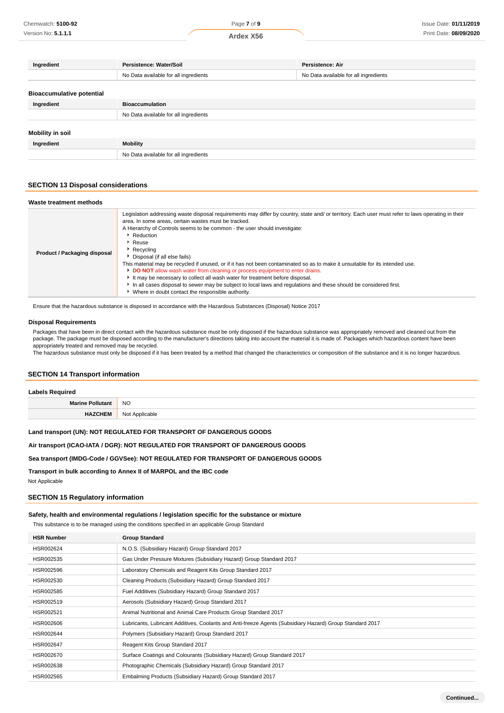| Ingredient                       | Persistence: Water/Soil               | Persistence: Air                      |  |
|----------------------------------|---------------------------------------|---------------------------------------|--|
|                                  | No Data available for all ingredients | No Data available for all ingredients |  |
|                                  |                                       |                                       |  |
| <b>Bioaccumulative potential</b> |                                       |                                       |  |
| Ingredient                       | <b>Bioaccumulation</b>                |                                       |  |
|                                  | No Data available for all ingredients |                                       |  |
|                                  |                                       |                                       |  |
| Mobility in soil                 |                                       |                                       |  |
| Ingredient                       | <b>Mobility</b>                       |                                       |  |
|                                  | No Data available for all ingredients |                                       |  |

### **SECTION 13 Disposal considerations**

| Waste treatment methods      |                                                                                                                                                                                                                                                                                                                                                                                                                                                                                                                                                                                                                                                                                                                                                                                                                                                              |
|------------------------------|--------------------------------------------------------------------------------------------------------------------------------------------------------------------------------------------------------------------------------------------------------------------------------------------------------------------------------------------------------------------------------------------------------------------------------------------------------------------------------------------------------------------------------------------------------------------------------------------------------------------------------------------------------------------------------------------------------------------------------------------------------------------------------------------------------------------------------------------------------------|
| Product / Packaging disposal | Legislation addressing waste disposal requirements may differ by country, state and/ or territory. Each user must refer to laws operating in their<br>area. In some areas, certain wastes must be tracked.<br>A Hierarchy of Controls seems to be common - the user should investigate:<br>Reduction<br>Reuse<br>$\blacktriangleright$ Recycling<br>Disposal (if all else fails)<br>This material may be recycled if unused, or if it has not been contaminated so as to make it unsuitable for its intended use.<br>DO NOT allow wash water from cleaning or process equipment to enter drains.<br>It may be necessary to collect all wash water for treatment before disposal.<br>In all cases disposal to sewer may be subject to local laws and regulations and these should be considered first.<br>• Where in doubt contact the responsible authority. |

Ensure that the hazardous substance is disposed in accordance with the Hazardous Substances (Disposal) Notice 2017

### **Disposal Requirements**

Packages that have been in direct contact with the hazardous substance must be only disposed if the hazardous substance was appropriately removed and cleaned out from the package. The package must be disposed according to the manufacturer's directions taking into account the material it is made of. Packages which hazardous content have been appropriately treated and removed may be recycled.

The hazardous substance must only be disposed if it has been treated by a method that changed the characteristics or composition of the substance and it is no longer hazardous.

### **SECTION 14 Transport information**

| <b>Labels Required</b>  |                |
|-------------------------|----------------|
| <b>Marine Pollutant</b> | <b>NO</b>      |
| <b>HAZCHEM</b>          | Not Applicable |

**Land transport (UN): NOT REGULATED FOR TRANSPORT OF DANGEROUS GOODS**

**Air transport (ICAO-IATA / DGR): NOT REGULATED FOR TRANSPORT OF DANGEROUS GOODS**

### **Sea transport (IMDG-Code / GGVSee): NOT REGULATED FOR TRANSPORT OF DANGEROUS GOODS**

**Transport in bulk according to Annex II of MARPOL and the IBC code**

Not Applicable

### **SECTION 15 Regulatory information**

### **Safety, health and environmental regulations / legislation specific for the substance or mixture**

This substance is to be managed using the conditions specified in an applicable Group Standard

| <b>HSR Number</b> | <b>Group Standard</b>                                                                                    |
|-------------------|----------------------------------------------------------------------------------------------------------|
| HSR002624         | N.O.S. (Subsidiary Hazard) Group Standard 2017                                                           |
| HSR002535         | Gas Under Pressure Mixtures (Subsidiary Hazard) Group Standard 2017                                      |
| HSR002596         | Laboratory Chemicals and Reagent Kits Group Standard 2017                                                |
| HSR002530         | Cleaning Products (Subsidiary Hazard) Group Standard 2017                                                |
| HSR002585         | Fuel Additives (Subsidiary Hazard) Group Standard 2017                                                   |
| HSR002519         | Aerosols (Subsidiary Hazard) Group Standard 2017                                                         |
| HSR002521         | Animal Nutritional and Animal Care Products Group Standard 2017                                          |
| HSR002606         | Lubricants, Lubricant Additives, Coolants and Anti-freeze Agents (Subsidiary Hazard) Group Standard 2017 |
| HSR002644         | Polymers (Subsidiary Hazard) Group Standard 2017                                                         |
| HSR002647         | Reagent Kits Group Standard 2017                                                                         |
| HSR002670         | Surface Coatings and Colourants (Subsidiary Hazard) Group Standard 2017                                  |
| HSR002638         | Photographic Chemicals (Subsidiary Hazard) Group Standard 2017                                           |
| HSR002565         | Embalming Products (Subsidiary Hazard) Group Standard 2017                                               |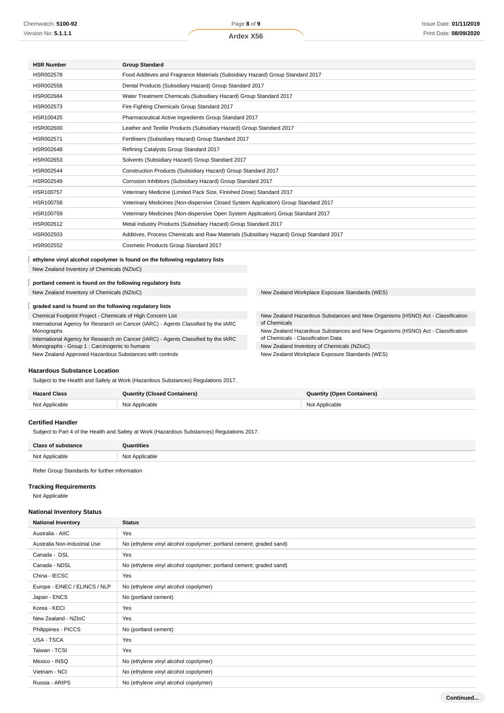### **Ardex X56**

| <b>HSR Number</b> | <b>Group Standard</b>                                                                  |
|-------------------|----------------------------------------------------------------------------------------|
| HSR002578         | Food Additives and Fragrance Materials (Subsidiary Hazard) Group Standard 2017         |
| HSR002558         | Dental Products (Subsidiary Hazard) Group Standard 2017                                |
| HSR002684         | Water Treatment Chemicals (Subsidiary Hazard) Group Standard 2017                      |
| HSR002573         | Fire Fighting Chemicals Group Standard 2017                                            |
| HSR100425         | Pharmaceutical Active Ingredients Group Standard 2017                                  |
| HSR002600         | Leather and Textile Products (Subsidiary Hazard) Group Standard 2017                   |
| HSR002571         | Fertilisers (Subsidiary Hazard) Group Standard 2017                                    |
| HSR002648         | Refining Catalysts Group Standard 2017                                                 |
| HSR002653         | Solvents (Subsidiary Hazard) Group Standard 2017                                       |
| HSR002544         | Construction Products (Subsidiary Hazard) Group Standard 2017                          |
| HSR002549         | Corrosion Inhibitors (Subsidiary Hazard) Group Standard 2017                           |
| HSR100757         | Veterinary Medicine (Limited Pack Size, Finished Dose) Standard 2017                   |
| HSR100758         | Veterinary Medicines (Non-dispersive Closed System Application) Group Standard 2017    |
| HSR100759         | Veterinary Medicines (Non-dispersive Open System Application) Group Standard 2017      |
| HSR002612         | Metal Industry Products (Subsidiary Hazard) Group Standard 2017                        |
| HSR002503         | Additives, Process Chemicals and Raw Materials (Subsidiary Hazard) Group Standard 2017 |
| HSR002552         | Cosmetic Products Group Standard 2017                                                  |

#### I **ethylene vinyl alcohol copolymer is found on the following regulatory lists**

New Zealand Inventory of Chemicals (NZIoC)

#### I **portland cement is found on the following regulatory lists**

### **graded sand is found on the following regulatory lists**

Chemical Footprint Project - Chemicals of High Concern List International Agency for Research on Cancer (IARC) - Agents Classified by the IARC Monographs International Agency for Research on Cancer (IARC) - Agents Classified by the IARC Monographs - Group 1 : Carcinogenic to humans New Zealand Approved Hazardous Substances with controls

New Zealand Inventory of Chemicals (NZIoC) New Zealand Workplace Exposure Standards (WES)

New Zealand Hazardous Substances and New Organisms (HSNO) Act - Classification of Chemicals New Zealand Hazardous Substances and New Organisms (HSNO) Act - Classification of Chemicals - Classification Data New Zealand Inventory of Chemicals (NZIoC) New Zealand Workplace Exposure Standards (WES)

### **Hazardous Substance Location**

Subject to the Health and Safety at Work (Hazardous Substances) Regulations 2017.

| <b>Hazard Class</b> | <b>Quantity (Closed Containers)</b> | Quantity (Open Containers) |
|---------------------|-------------------------------------|----------------------------|
| Not Applicable      | Not Applicable                      | Not Applicable             |

### **Certified Handler**

Subject to Part 4 of the Health and Safety at Work (Hazardous Substances) Regulations 2017.

| Close -                 | ntities           |
|-------------------------|-------------------|
| Not Annlics<br>Not<br>. | : Applicable<br>. |

Refer Group Standards for further information

### **Tracking Requirements**

Not Applicable

### **National Inventory Status**

| <b>National Inventory</b>     | <b>Status</b>                                                       |  |  |
|-------------------------------|---------------------------------------------------------------------|--|--|
| Australia - AIIC              | Yes                                                                 |  |  |
| Australia Non-Industrial Use  | No (ethylene vinyl alcohol copolymer; portland cement; graded sand) |  |  |
| Canada - DSL                  | Yes                                                                 |  |  |
| Canada - NDSL                 | No (ethylene vinyl alcohol copolymer; portland cement; graded sand) |  |  |
| China - IECSC                 | Yes                                                                 |  |  |
| Europe - EINEC / ELINCS / NLP | No (ethylene vinyl alcohol copolymer)                               |  |  |
| Japan - ENCS                  | No (portland cement)                                                |  |  |
| Korea - KECI                  | Yes                                                                 |  |  |
| New Zealand - NZIoC           | Yes                                                                 |  |  |
| Philippines - PICCS           | No (portland cement)                                                |  |  |
| USA - TSCA                    | Yes                                                                 |  |  |
| Taiwan - TCSI                 | Yes                                                                 |  |  |
| Mexico - INSQ                 | No (ethylene vinyl alcohol copolymer)                               |  |  |
| Vietnam - NCI                 | No (ethylene vinyl alcohol copolymer)                               |  |  |
| Russia - ARIPS                | No (ethylene vinyl alcohol copolymer)                               |  |  |